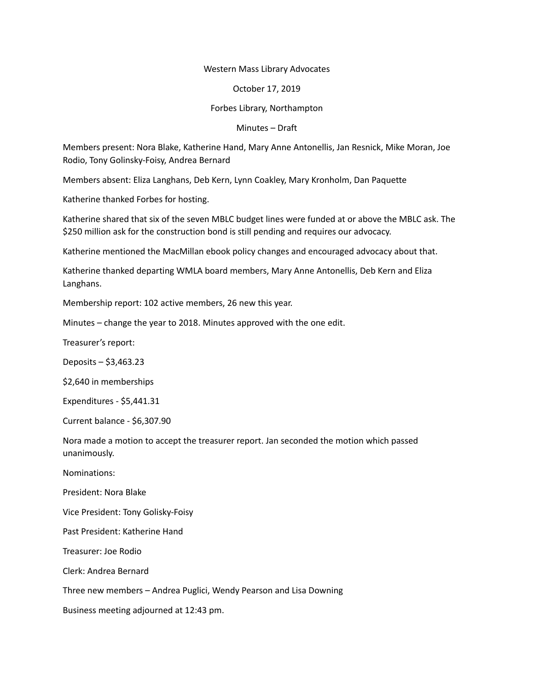## Western Mass Library Advocates

October 17, 2019

Forbes Library, Northampton

Minutes – Draft

Members present: Nora Blake, Katherine Hand, Mary Anne Antonellis, Jan Resnick, Mike Moran, Joe Rodio, Tony Golinsky-Foisy, Andrea Bernard

Members absent: Eliza Langhans, Deb Kern, Lynn Coakley, Mary Kronholm, Dan Paquette

Katherine thanked Forbes for hosting.

Katherine shared that six of the seven MBLC budget lines were funded at or above the MBLC ask. The \$250 million ask for the construction bond is still pending and requires our advocacy.

Katherine mentioned the MacMillan ebook policy changes and encouraged advocacy about that.

Katherine thanked departing WMLA board members, Mary Anne Antonellis, Deb Kern and Eliza Langhans.

Membership report: 102 active members, 26 new this year.

Minutes – change the year to 2018. Minutes approved with the one edit.

Treasurer's report:

Deposits – \$3,463.23

\$2,640 in memberships

Expenditures - \$5,441.31

Current balance - \$6,307.90

Nora made a motion to accept the treasurer report. Jan seconded the motion which passed unanimously.

Nominations:

President: Nora Blake

Vice President: Tony Golisky-Foisy

Past President: Katherine Hand

Treasurer: Joe Rodio

Clerk: Andrea Bernard

Three new members – Andrea Puglici, Wendy Pearson and Lisa Downing

Business meeting adjourned at 12:43 pm.